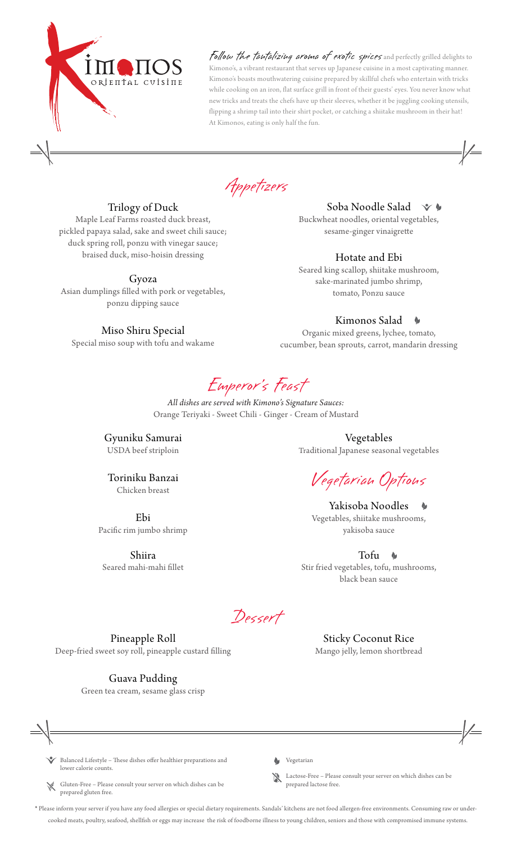

Follow the tantalizing aroma of exotic spices and perfectly grilled delights to Kimono's, a vibrant restaurant that serves up Japanese cuisine in a most captivating manner. Kimono's boasts mouthwatering cuisine prepared by skillful chefs who entertain with tricks while cooking on an iron, flat surface grill in front of their guests' eyes. You never know what new tricks and treats the chefs have up their sleeves, whether it be juggling cooking utensils, flipping a shrimp tail into their shirt pocket, or catching a shiitake mushroom in their hat! At Kimonos, eating is only half the fun.

Appetizers

## Trilogy of Duck

Maple Leaf Farms roasted duck breast, pickled papaya salad, sake and sweet chili sauce; duck spring roll, ponzu with vinegar sauce; braised duck, miso-hoisin dressing

Gyoza

Asian dumplings filled with pork or vegetables, ponzu dipping sauce

## Miso Shiru Special

Special miso soup with tofu and wakame

#### Soba Noodle Salad  $\vee$

Buckwheat noodles, oriental vegetables, sesame-ginger vinaigrette

# Hotate and Ebi

Seared king scallop, shiitake mushroom, sake-marinated jumbo shrimp, tomato, Ponzu sauce

#### Kimonos Salad

Organic mixed greens, lychee, tomato, cucumber, bean sprouts, carrot, mandarin dressing

Emperor 's Feast

*All dishes are served with Kimono's Signature Sauces:* Orange Teriyaki - Sweet Chili - Ginger - Cream of Mustard

Gyuniku Samurai USDA beef striploin

Toriniku Banzai Chicken breast

Ebi

Pacific rim jumbo shrimp Shiira

Seared mahi-mahi fillet

Vegetables Traditional Japanese seasonal vegetables

Vegetarian Options

Yakisoba Noodles Vegetables, shiitake mushrooms, yakisoba sauce

Tofu **A** Stir fried vegetables, tofu, mushrooms, black bean sauce

> Sticky Coconut Rice Mango jelly, lemon shortbread

Dessert

Pineapple Roll Deep-fried sweet soy roll, pineapple custard filling

Guava Pudding

Green tea cream, sesame glass crisp



Balanced Lifestyle - These dishes offer healthier preparations and lower calorie counts.

· Gluten-Free – Please consult your server on which dishes can be prepared gluten free.



· Lactose-Free – Please consult your server on which dishes can be prepared lactose free.

\* Please inform your server if you have any food allergies or special dietary requirements. Sandals' kitchens are not food allergen-free environments. Consuming raw or undercooked meats, poultry, seafood, shellfish or eggs may increase the risk of foodborne illness to young children, seniors and those with compromised immune systems.